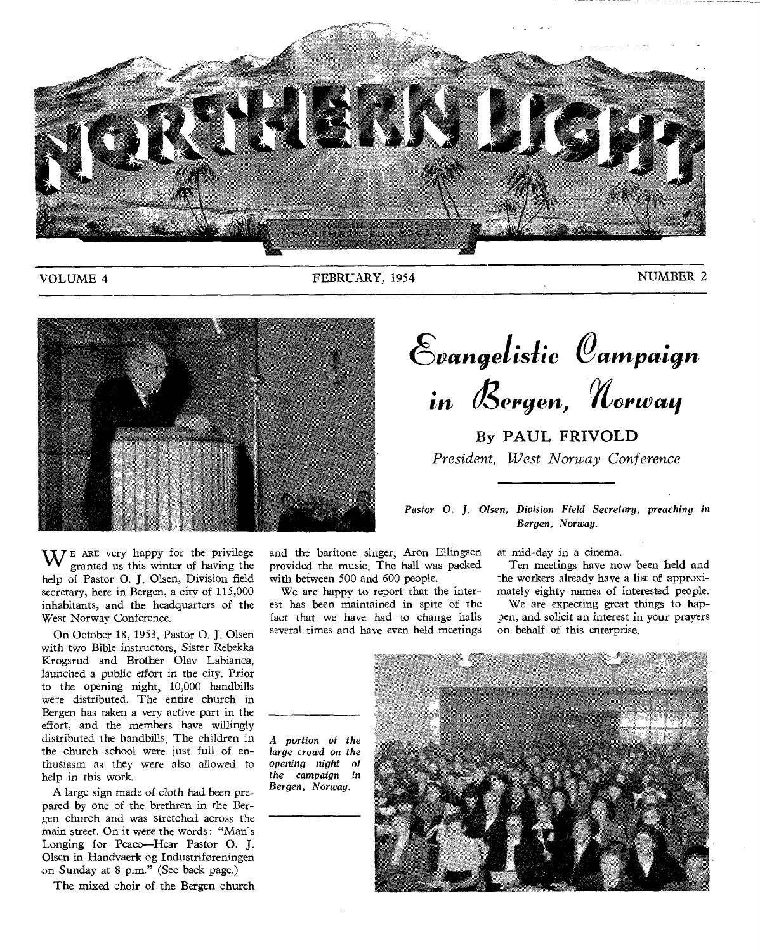

**VOLUME 4** 

FEBRUARY, 1954

NUMBER 2



 $\mathbf{W}$   $\mathbf{F}$  ARE very happy for the privilege **granted us this winter of having the help of Pastor 0. J. Olsen, Division field secretary, here in Bergen, a city of 115,000 inhabitants, and the headquarters of the West Norway Conference.** 

**On October 18, 1953, Pastor 0. J. Olsen with two Bible instructors, Sister** *Rebekka*  **Krogsrud and Brother Olav Labianca, launched a public effort in the city. Prior to the opening night, 10,000 handbills**  were distributed. The entire church in **Bergen has taken a very active part in the effort, and the members have willingly distributed the handbills. The children in the church school were just full of enthusiasm as they were also allowed to help in this work.** 

**A large sign made of cloth had been prepared by one of the brethren in the Bergen church and was stretched across the main street. On it were the words : "Man's Longing for Peace—Hear Pastor 0. J. Olsen in Handvaerk og Industriforeningen on Sunday at 8 p.m." (See back page.)** 

**The mixed choir of the Befgen church** 

**and the baritone singer, Aron Ellingsen provided the music. The hall was packed with between 500 and 600 people.** 

**We are happy to report that the interest has been maintained in spite of the fact that we have had to change halls several times and have even held meetings** 

Evangelistic Campaign in Bergen, Norway

**By PAUL FRIVOLD**  *President, West Norway Conference* 

*Pastor 0. J. Olsen, Division Field Secretary, preaching in Bergen, Norway.* 

**at mid-day in a cinema.** 

**Ten meetings have now been held and the workers already have a list of approximately eighty names of interested people.** 

**We are expecting great things to happen, and solicit an interest in your prayers on behalf of this enterprise.** 

**A portion of the large crowd on the opening night of the campaign in Bergen, Norway.** 

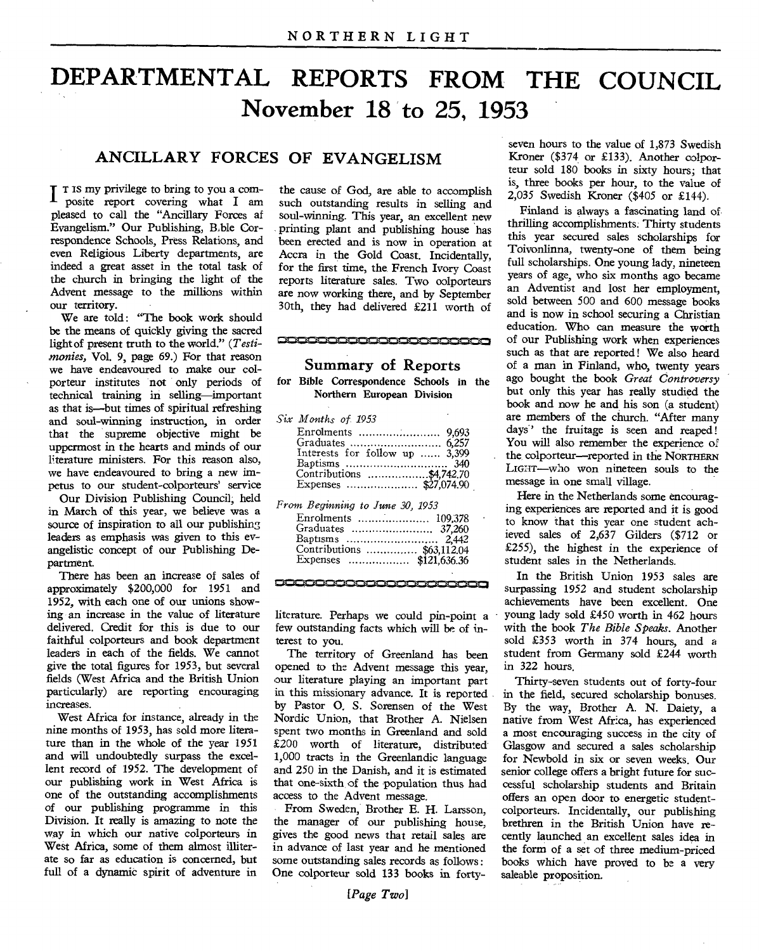# **DEPARTMENTAL REPORTS FROM THE COUNCIL November 18 to 25, 1953**

## **ANCILLARY FORCES OF EVANGELISM**

**T** <sup>T</sup> <sup>IS</sup> my privilege to bring to you a composite report covering what I am pleased to call the "Ancillary Forces of Evangelism." Our Publishing, B.ble Correspondence Schools, Press Relations, and even Religious Liberty departments, are indeed a great asset in the total task of the church in bringing the light of the Advent message to the millions within our territory.

We are told: "The book work should be the means of quickly giving the sacred light of present truth to the world." *(Testimonies,* Vol. 9, page 69.) For that reason we have endeavoured to make our colporteur institutes not only periods of technical training in selling—important as that is—but times of spiritual refreshing and soul-winning instruction, in order that the supreme objective might be uppermost in the hearts and minds of our literature ministers. For this reason also, we have endeavoured to bring a new impetus to our student-colporteurs' service

Our Division Publishing Council; held in March of this year, we believe was a source of inspiration to all our publishing leaders as emphasis was given to this evangelistic concept of our Publishing Department.

There has been an increase of sales of approximately \$200,000 for 1951 and 1952, with each one of our unions showing an increase in the value of literature delivered. Credit for this is due to our faithful colporteurs and book department leaders in each of the fields. We cannot give the total figures for 1953, but several fields (West Africa and the British Union particularly) are reporting encouraging increases.

West Africa for instance, already in the nine months of 1953, has sold more literature than in the whole of the year 1951 and will undoubtedly surpass the excellent record of 1952. The development of our publishing work in West Africa is one of the outstanding accomplishments of our publishing programme in this Division. It really is amazing to note the way in which our native colporteurs in West Africa, some of them almost illiterate so far as education is concerned, but full of a dynamic spirit of adventure in

the cause of God, are able to accomplish such outstanding results in selling and soul-winning. This year, an excellent new printing plant and publishing house has been erected and is now in operation at Accra in the Gold Coast. Incidentally, for the first time, the. French Ivory Coast reports literature sales. Two oolporteurs are now working there, and by September 30th, they had delivered £211 worth of

## **BERBERBERBERBERBERB Summary of Reports**

for Bible Correspondence Schools in the Northern European Division

| Six Months of 1953             |  |
|--------------------------------|--|
|                                |  |
|                                |  |
|                                |  |
| Interests for follow up  3,399 |  |
|                                |  |
| Contributions \$4,742.70       |  |
|                                |  |
|                                |  |

*From Beginning to June 30, 1953*  Enrolments 109,378

| Contributions  \$63,112.04 |  |
|----------------------------|--|
|                            |  |

**DEDESECCCCCCCCCCCCCCCC** 

literature. Perhaps we could pin-point a few outstanding facts which will be of interest to you.

The territory of Greenland has been opened to the Advent message this year, our literature playing an important part in this missionary advance. It is reported by Pastor 0. S. Sorensen of the West Nordic Union, that Brother A. Nielsen spent two months in Greenland and sold £200 worth of literature, distributed 1,000 tracts in the Greenlandic language and 250 in the Danish, and it is estimated that one-sixth of the population thus had access to the Advent message.

From Sweden, Brother E. H. Larsson, the manager of our publishing house, gives the good news that retail sales are in advance of last year and he mentioned some outstanding sales records as follows : One colporteur sold 133 books in forty-

seven hours to the value of 1,873 Swedish Kroner (\$374 or £133). Another colporteur sold 180 books in sixty hours; that is, three books per hour, to the value of 2,035 Swedish Kroner (\$405 or £144).

Finland is always a fascinating land of thrilling accomplishments. Thirty students this year secured sales scholarships for Toivonlinna, twenty-one of them being full scholarships. One young lady, nineteen years of age, who six months ago became an Adventist and lost her employment, sold between 500 and 600 message books and is now in school securing a Christian education. Who can measure the worth of our Publishing work when experiences such as that are reported! We also heard of a man in Finland, who, twenty years ago bought the book *Great Controversy*  but only this year has really studied the book and now he and his son (a student) are members of the church. "After many days' the fruitage is seen and reaped! You will also remember the experience of the colporteur—reported in the NORTHERN LIGHT—who won nineteen souls to the message in one small village.

Here in the Netherlands some encouraging experiences are reported and it is good to know that this year one student achieved sales of 2,637 Gilders (\$712 or £255), the highest in the experience of student sales in the Netherlands.

In the British Union 1953 sales are surpassing 1952 and student scholarship achievements have been excellent. One young lady sold £450 worth in 462 hours with the book *The Bible Speaks.* Another sold £353 worth in 374 hours, and a student from Germany sold £244 worth in 322 hours.

Thirty-seven students out of forty-four in the field, secured scholarship bonuses. By the way, Brother A. N. Daiety, a native from West Africa, has experienced a most encouraging success in the city of Glasgow and secured a sales scholarship for Newbold in six or seven weeks. Our senior college offers a bright future for successful scholarship students and Britain offers an open door to energetic studentcolporteurs. Incidentally, our publishing brethren in the British Union have recently launched an excellent sales idea in the form of a set of three medium-priced books which have proved to be a very saleable proposition.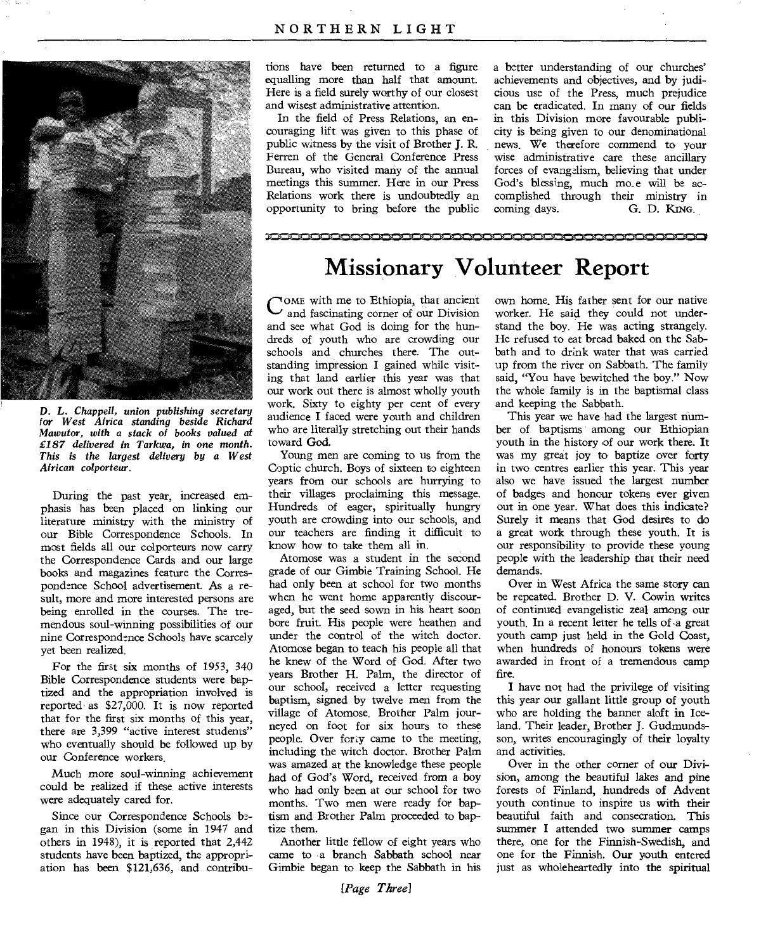

D. L. *Chappell, union publishing secretary for West Africa standing beside Richard Mawutor, with a stack of books valued at £187 delivered in Tarkwa, in one month. This is the largest delivery by a West African colporteur.* 

During the past year, increased emphasis has been placed on linking our literature ministry with the ministry of our Bible Correspondence Schools. In most fields all our colporteurs now carry the Correspondence Cards and our large books and magazines feature the Correspondence School advertisement. As a result, more and more interested persons are being enrolled in the courses. The tremendous soul-winning possibilities of our nine Correspondence Schools have scarcely yet been realized.

For the first six months of 1953, 340 Bible Correspondence students were baptized and the appropriation involved is reported,as \$27,000. It is now reported that for the first six months of this year, there are 3,399 "active interest students" who eventually should be followed up by our Conference workers.

Much more soul-winning achievement could be realized if these active interests were adequately cared for.

Since our Correspondence Schools began in this Division (some in 1947 and others in 1948), it is reported that 2,442 students have been baptized, the appropriation has been \$121,636, and contribu-

tions have been returned to a figure equalling more than half that amount. Here is a field surely worthy of our closest and wisest administrative attention.

In the field of Press Relations, an encouraging lift was given to this phase of public witness by the visit of Brother J. R. Ferren of the General Conference Press Bureau, who visited many of the annual meetings this summer. Here in our Press Relations work there is undoubtedly an opportunity to bring before the public a better understanding of our churches' achievements and objectives, and by judicious use of the Press, much prejudice can be eradicated. In many of our fields in this Division more favourable publicity is being given to our denominational news. We therefore commend to your wise administrative care these ancillary forces of evangelism, believing that under God's blessing, much mo\_e will be accomplished through their ministry in coming days. G. D. KING.

## **Missionary Volunteer Report**

-',,,I•I'Mi•fir,4110.1MiNgEissimi,MOMINIMIP•mi,MOSINt,=-41.,11.,=,•••:•1111,M•g•NE•likali,11•NMrOMN•iiMa,mr,Mini,M,O10=1,1•1K.S.I.Mi".10.1•0,..111:ANC:=1,0••

COME with me to Ethiopia, that ancient<br>and fascinating corner of our Division OME with me to Ethiopia, that ancient and see what God is doing for the hundreds of youth who are crowding our schools and churches there. The outstanding impression I gained while visiting that land earlier this year was that our work out there is almost wholly youth work. Sixty to eighty per cent of every audience I faced were youth and children who are literally stretching out their hands toward God.

Young men are coming to us from the Coptic church. Boys of sixteen to eighteen years from our schools are hurrying to their villages proclaiming this message. Hundreds of eager, spiritually hungry youth are crowding into our schools, and our teachers are finding it difficult to know how to take them all in.

Atomose was a student in the second grade of our Gimbie Training School. He had only been at school for two months when he went home apparently discouraged, but the seed sown in his heart soon bore fruit. His people were heathen and under the control of the witch doctor. Atomose began to teach his people all that he knew of the Word of God. After two years Brother H. Palm, the director of our school, received a letter requesting baptism, signed by twelve men from the village of Atomose. Brother Palm journeyed on foot for six hours to these people. Over forty came to the meeting, including the witch doctor. Brother Palm was amazed at the knowledge these people had of God's Word, received from a boy who had only been at our school for two months. Two men were ready for baptism and Brother Palm proceeded to baptize them.

Another little fellow of eight years who came to a branch Sabbath school near Gimbie began to keep the Sabbath in his

own home. His father sent for our native worker. He said they could not understand the boy. He was acting strangely. He refused to eat bread baked on the Sabbath and to drink water that was carried up from the river on Sabbath. The family said, "You have bewitched the boy." Now the whole family is in the baptismal class and keeping the Sabbath.

This year we have had the largest number of baptisms among our Ethiopian youth in the history of our work there. It was my great joy to baptize over forty in two centres earlier this year. This year also we have issued the largest number of badges and honour tokens ever given out in one year. What does this indicate? Surely it means that God desires to do a great work through these youth. It is our responsibility to provide these young people with the leadership that their need demands.

Over in West Africa the same story can be repeated. Brother D. V. Cowin writes of continued evangelistic zeal among our youth. In a recent letter he tells of -a great youth camp just held in the Gold Coast, when hundreds of honours tokens were awarded in front of a tremendous camp fire.

I have not had the privilege of visiting this year our gallant little group of youth who are holding the banner aloft in Iceland. Their leader, Brother J. Gudmundsson, writes encouragingly of their loyalty and activities.

Over in the other corner of our Division, among the beautiful lakes and pine forests of Finland, hundreds of Advent youth continue to inspire us with their beautiful faith and consecration. This summer I attended two summer camps there, one for the Finnish-Swedish, and one for the Finnish. Our youth entered just as wholeheartedly into the spiritual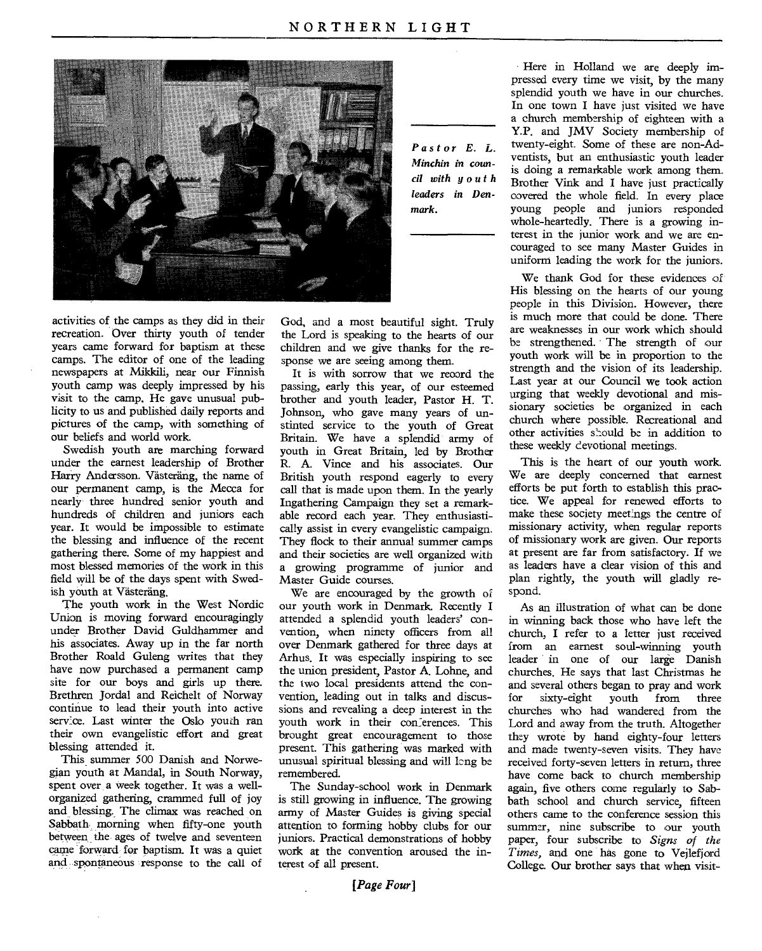

*Pastor E. L. Minchin in council with youth leaders in Denmark.* 

activities of the camps as they did in their recreation. Over thirty youth of tender years came forward for baptism at these camps. The editor of one of the leading newspapers at Mikkili, near our Finnish youth camp was deeply impressed by his visit to the camp. He gave unusual publicity to us and published daily reports and pictures of the camp, with something of our beliefs and world work.

Swedish youth are marching forward under the earnest leadership of Brother Harry Andersson. Västeräng, the name of our permanent camp, is the Mecca for nearly three hundred senior youth and hundreds of children and juniors each year. It would be impossible to estimate the blessing and influence of the recent gathering there. Some of my happiest and most blessed memories of the work in this field will be of the days spent with Swedish youth at Västeräng.

The youth work in the West Nordic Union is moving forward encouragingly under Brother David Guldharnmer and his associates. Away up in the far north Brother Roald Guleng writes that they have now purchased a permanent camp site for our boys and girls up there. Brethren Jordal and Reichelt of Norway continue to lead their youth into active service. Last winter the Oslo youth ran their own evangelistic effort and great blessing attended it.

This summer 500 Danish and Norwegian youth at Mandal, in South Norway, spent over a week together. It was a wellorganized gathering, crammed full of joy and blessing. The climax was reached on Sabbath morning when fifty-one youth between the ages of twelve and seventeen came forward for baptism. It was a quiet and spontaneous response to the call of God, and a most beautiful sight. Truly the Lord is speaking to the hearts of our children and we give thanks for the response we are seeing among them.

It is with sorrow that we record the passing, early this year, of our esteemed brother and youth leader, Pastor H. T. Johnson, who gave many years of unstinted service to the youth of Great Britain. We have a splendid army of youth in Great Britain, led by Brother R. A. Vince and his associates. Our British youth respond eagerly to every call that is made upon them. In the yearly Ingathering Campaign they set a remarkable record each year. They enthusiastically assist in every evangelistic campaign. They flock to their annual summer camps and their societies are well organized with a growing programme of junior and Master Guide courses.

We are encouraged by the growth of our youth work in Denmark. Recently I attended a splendid youth leaders' convention, when ninety officers from all over Denmark gathered for three days at Arhus. It was especially inspiring to see the union president, Pastor A. Lohne, and the two local presidents attend the convention, leading out in talks and discussions and revealing a deep interest in the youth work in their conferences. This brought great encouragement to those present. This gathering was marked with unusual spiritual blessing and will lcng be remembered.

The Sunday-school work in Denmark is still growing in influence. The growing army of Master Guides is giving special attention to forming hobby clubs for our iuniors. Practical demonstrations of hobby work at the convention aroused the interest of all present.

Here in Holland we are deeply impressed every time we visit, by the many splendid youth we have in our churches. In one town I have just visited we have a church membership of eighteen with a Y.P. and JMV Society membership of twenty-eight. Some of these are non-Adventists, but an enthusiastic youth leader is doing a remarkable work among them. Brother Vink and I have just practically covered the whole field. In every place young people and juniors responded whole-heartedly. There is a growing interest in the junior work and we are encouraged to see many Master Guides in uniform leading the work for the juniors.

We thank God for these evidences of His blessing on the hearts of our young people in this Division. However, there is much more that could be done. There are weaknesses in our work which should be strengthened. The strength of our youth work will be in proportion to the strength and the vision of its leadership. Last year at our Council we took action urging that weekly devotional and missionary societies be organized in each church where possible. Recreational and other activities should be in addition to these weekly devotional meetings.

This is the heart of our youth work. We are deeply concerned that earnest efforts be put forth to establish this practice. We appeal for renewed efforts to make these society meetings the centre of missionary activity, when regular reports of missionary work are given. Our reports at present are far from satisfactory. If we as leaders have a clear vision of this and plan rightly, the youth will gladly respond.

As an illustration of what can be done in winning back those who have left the church, I refer to a letter just received from an earnest soul-winning youth leader in one of our large Danish churches. He says that last Christmas he and several others began to pray and work for sixty-eight youth from three churches who had wandered from the Lord and away from the truth. Altogether they wrote by hand eighty-four letters and made twenty-seven visits. They have received forty-seven letters in return, three have come back to church membership again, five others come regularly to Sabbath school and church service, fifteen others came to the conference session this summer, nine subscribe to our youth paper, four subscribe to *Signs of the Times,* and one has gone to Vejlefjord College. Our brother says that when visit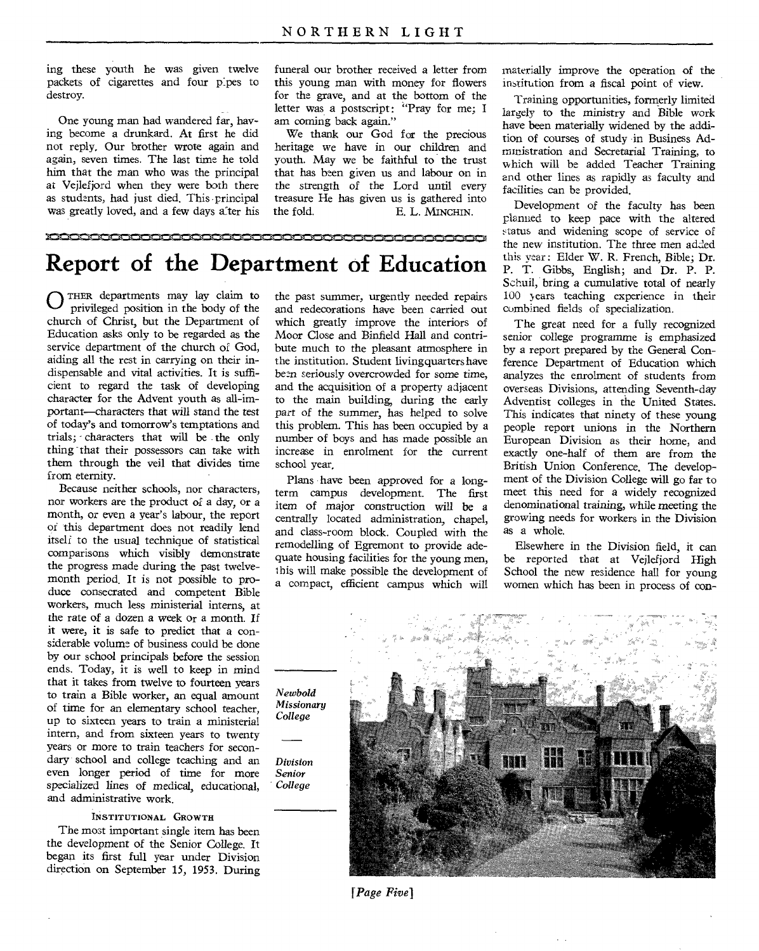ing these youth he was given twelve packets of cigarettes and four pipes to destroy.

One young man had wandered far, having become a drunkard. At first he did not reply. Our brother wrote again and again, seven times. The last time he told him that the man who was the principal at Vejlefjord when they were both there as students, had just died. This principal was greatly loved, and a few days a ter his funeral our brother received a letter from this young man with money for flowers for the grave, and at the bottom of the letter was a postscript: "Pray for me; I am coming back again."

We thank our God for the precious heritage we have in our children and youth. May we be faithful to the trust that has been given us and labour on in the strength of the Lord until every treasure He has given us is gathered into the fold. E. L. MINCHIN.

<u>iaaaaan </u>

## **of Education Report of the Department**

*College* 

*Division Senior College* 

0 THER departments may lay claim to privileged position in the body of the church of Christ, but the Department of Education asks only to be regarded as the service department of the church of God, aiding all the rest in carrying on their indispensable and vital activities. It is sufficient to regard the task of developing character for the Advent youth as all-important—characters that will stand the test of today's and tomorrow's temptations and trials; - characters that will be . the only thing that their possessors can take with them through the veil that divides time from eternity.

Because neither schools, nor characters, nor workers are the product of a day, or a month, or even a year's labour, the report or this department does not readily lend itself to the usual technique of statistical comparisons which visibly demonstrate the progress made during the past twelvemonth period. It is not possible to produce consecrated and competent Bible workers, much less ministerial interns, at the rate of a dozen a week or a month. If it were, it is safe to predict that a considerable volume of business could be done by our school principals before the session ends. Today, it is well to keep in mind that it takes from twelve to fourteen years to train a Bible worker, an equal amount of time for an elementary school teacher, up to sixteen years to train a ministerial intern, and from sixteen years to twenty years or more to train teachers for secondary school and college teaching and an even longer period of time for more specialized lines of medical, educational, and administrative work.

#### INSTITUTIONAL GROWTH

The most important single item has been the development of the Senior College. It began its first full year under Division direction on September 15, 1953. During

the past summer, urgently needed repairs and redecorations have been carried out which greatly improve the interiors of Moor Close and Binfield Hall and contribute much to the pleasant atmosphere in the institution. Student living quarters have been seriously overcrowded for some time, and the acquisition of a property adjacent to the main building, during the early part of the summer, has helped to solve this problem. This has been occupied by a number of boys and has made possible an increase in enrolment for the current school year,

Plans have been approved for a longterm campus development. The first item of major construction will be a centrally located administration, chapel, and class-room block. Coupled with the remodelling of Egremont to provide adequate housing facilities for the young men, this will make possible the development of a compact, efficient campus which will materially improve the operation of the institution from a fiscal point of view.

Training opportunities, formerly limited largely to the ministry and Bible work have been materially widened by the addition of courses of study in Business Administration and Secretarial Training, to which will be added Teacher Training and other lines as rapidly as faculty and facilities can be provided.

Development of the faculty has been planned to keep pace with the altered status and widening scope of service of the new institution. The three men added this year: Elder W. R. French, Bible; Dr. P. T. Gibbs, English; and Dr. P. **P.**  Schuil, bring a cumulative total of nearly 100 years teaching experience in their combined fields of specialization.

The great need for a fully recognized senior college programme is emphasized by a report prepared by the General Conference Department of Education which analyzes the enrolment of students from overseas Divisions, attending Seventh-day Adventist colleges in the United States. This indicates that ninety of these young people report unions in the Northern European Division as their home, and exactly one-half of them are from the British Union Conference. The development of the Division College will go far to meet this need for a widely recognized denominational training, while meeting the growing needs for workers in the Division as a whole.

Elsewhere in the Division field, it can be reported that at Vejlefjord High School the new residence hall for young women which has been in process of con-

*Newbold Missionary* 

*[Page Five]*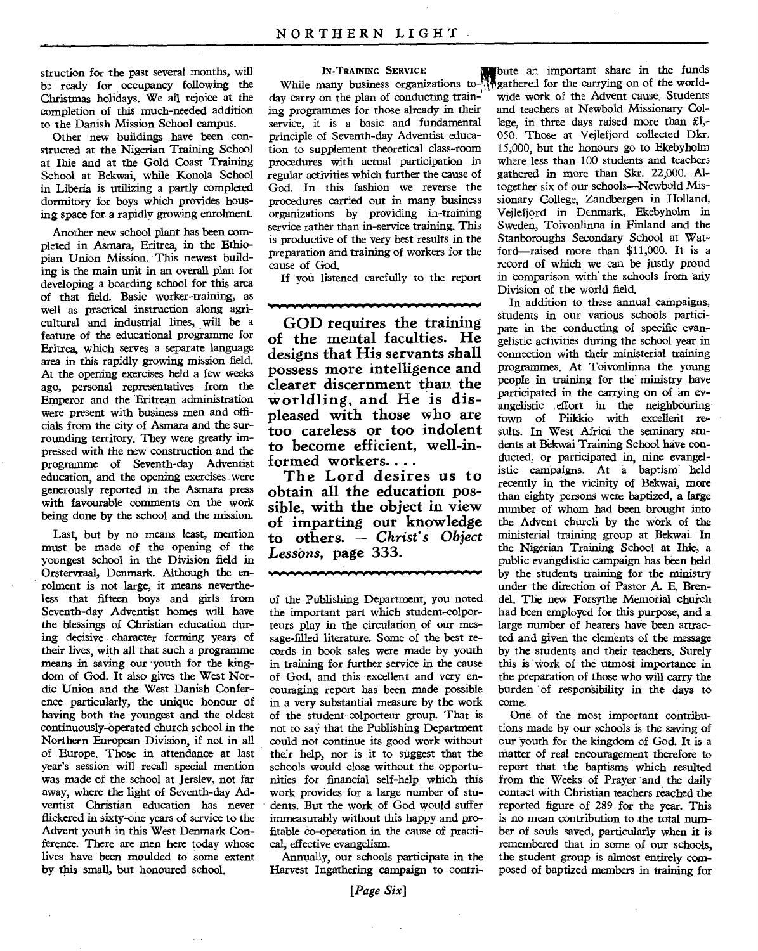struction for the past several months, will be ready for occupancy following the Christmas holidays. We all rejoice at the completion of this much-needed addition to the Danish Mission School campus.

Other new buildings have been constructed at the Nigerian Training School at Ihie and at the Gold Coast Training School at Bekwai, while Konola School in Liberia is utilizing a partly completed dormitory for boys which provides housing space for a rapidly growing enrolment.

Another new school plant has been completed in Asmara, Eritrea, in the Ethiopian Union Mission. This newest building is the main unit in an overall plan for developing a boarding school for this area of that field. Basic worker-training, as well as practical instruction along agricultural and industrial lines, will be a feature of the educational programme for Eritrea, which serves a separate language area in this rapidly growing mission field. At the opening exercises held a few weeks ago, personal representatives from the Emperor and the Eritrean administration were present with business men and officials from the city of Asmara and the surrounding territory. They were greatly impressed with the new construction and the programme of Seventh-day Adventist education, and the opening exercises were generously reported in the Asmara press with favourable comments on the work being done by the school and the mission.

Last, but by no means least, mention must be made of the opening of the youngest school in the Division field in Orstervraal, Denmark. Although the enrolment is not large, it means nevertheless that fifteen boys and girls from Seventh-day Adventist homes will have the blessings of Christian education during decisive character forming years of their lives, with all that such a programme means in saving our youth for the kingdom of God. It also gives the West Nordic Union and the West Danish Conference particularly, the unique honour of having both the youngest and the oldest continuously-operated church school in the Northern European Division, if not in all of Europe. Those in attendance at last year's session will recall special mention was made of the school at Jerslev, not far away, where the light of Seventh-day Adventist Christian education has never flickered in sixty-one years of service to the Advent youth in this West Denmark Conference. There are men here today whose lives have been moulded to some extent by this small, but honoured school.

#### **IN -TRAINING SERVICE**

While many business organizations today carry on the plan of conducting training programmes for those already in their service, it is a basic and fundamental principle of Seventh-day Adventist education to supplement theoretical class-room procedures with actual participation in regular activities which further the cause of God. In this fashion we reverse the procedures carried out in many business organizations by providing in-training service rather than in-service training. This is productive of the very best results in the preparation and training of workers for the cause of God.

If you listened carefully to the report

40.4~0.10,04.1.1 "../.404.."041•104.41.0.V.

**GOD requires the training of the mental faculties. He designs that His servants shall possess more intelligence and clearer discernment than the worldling, and He is displeased with those who are too careless or too indolent to become efficient, well-informed workers....** 

**The Lord desires us to obtain all the education possible, with the object in view of imparting our knowledge to others. —** *Christ's Object Lessons,* **page 333.** 

•OWORP•OYMPY..4040,0.40•1.10"10.4.11.40.0.10.10•10.10.1/

of the Publishing Department, you noted the important part which student-colporteurs play in the circulation of our message-filled literature. Some of the best records in book sales were made by youth in training for further service in the cause of God, and this excellent and very encouraging report has been made possible in a very substantial measure by the work of the student-colporteur group. That is not to say that the Publishing Department could not continue its good work without the:r help, nor is it to suggest that the schools would close without the opportunities for financial self-help which this work provides for a large number of students. But the work of God would suffer immeasurably without this happy and profitable co-operation in the cause of practical, effective evangelism.

Annually, our schools participate in the Harvest Ingathering campaign to contri-

bute an important share in the funds gathered for the carrying on of the worldwide work of the Advent cause. Students and teachers at Newbold Missionary College, in three days raised more than £1,- 050. Those at Vejlefjord collected Dkr. 15,000, but the honours go to Ekebyholm where less than 100 students and teachers gathered in more than Skr. 22,000. Altogether six of our schools—Newbold Missionary College, Zandbergen in Holland, Vejlefjord in Denmark, Ekebyholm in Sweden, Toivonlinna in Finland and the Stanboroughs Secondary School at Watford—raised more than \$11,000. It is a record of which we can be justly proud in comparison with the schools from any Division of the world field.

In addition to these annual campaigns, students in our various schools participate in the conducting of specific evangelistic activities during the school year in connection with their ministerial training programmes. At Toivonlinna the young people in training for the ministry have participated in the carrying on of an evangelistic effort in the neighbouring town of Piikkio with excellent results. In West Africa the seminary students at Bekwai Training School have conducted, or participated in, nine evangelistic campaigns. At a baptism held recently in the vicinity of Bekwai, more than eighty persons were baptized, a large number of whom had been brought into the Advent church by the work of the ministerial training group at Bekwai. **In**  the Nigerian Training School at Ihie, a public evangelistic campaign has been held by the students training for the ministry under the direction of Pastor A. E. Brendel. The new Forsythe Memorial church had been employed for this purpose, and a large number of hearers have been attracted and given the elements of the message by the students and their teachers. Surely this is work of the utmost importance in the preparation of those who will carry the burden of responsibility in the days to come.

One of the most important contributions made by our schools is the saving of our youth for the kingdom of God. It is a matter of real encouragement therefore to report that the baptisms which resulted from the Weeks of Prayer and the daily contact with Christian teachers reached the reported figure of 289 for the year. This is no mean contribution to the total number of souls saved, particularly when it is remembered that in some of our schools, the student group is almost entirely composed of baptized members in training for

 $\bar{z}$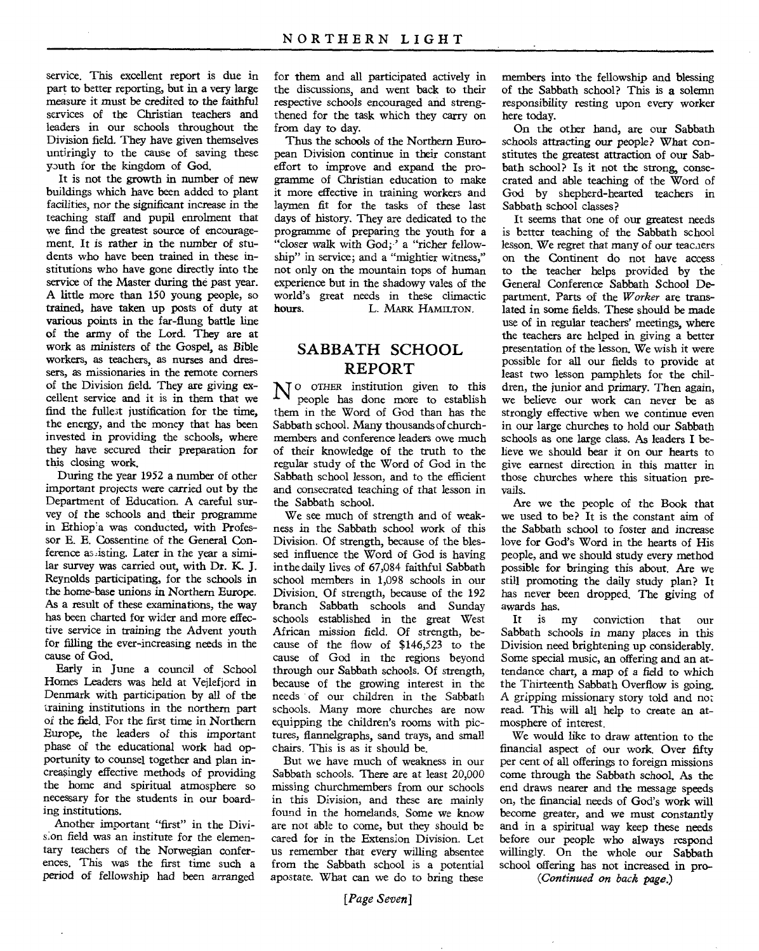service. This excellent report is due in part to better reporting, but in a very large measure it must be credited to the faithful services of the Christian teachers and leaders in our schools throughout the Division field. They have given themselves untiringly to the cause of saving these youth for the kingdom of God.

It is not the growth in number of new buildings which have been added to plant facilities, nor the significant increase in the teaching staff and pupil enrolment that we find the greatest source of encouragement. It is rather in the number of students who have been trained in these institutions who have gone directly into the service of the Master during the past year. A little more than 150 young people, so trained, have taken up posts of duty at various points in the far-flung battle line of the army of the Lord. They are at work as ministers of the Gospel, as Bible workers, as teachers, as nurses and dressers, as missionaries in the remote corners of the Division field. They are *giving* excellent service and it is in them that we find the fulle3t justification for the time, the energy, and the money that has been invested in providing the schools, where they have secured their preparation for this closing work.

During the year 1952 a number of other important projects were *carried* out by the Department of Education. A careful survey of the schools and their programme in Ethiop'a was conducted, with Professor E. E. Cossentine of the General Conference assisting. Later in the year a similar survey was carried out, with Dr. K. J. Reynolds participating, for the schools in the home-base unions in Northern Europe. As a result of these examinations, the way has been charted for wider and more effective service in training the Advent youth for filling the ever-increasing needs in the cause of God.

Early in June a council of School Homes Leaders was held at Vellefjord in Denmark with participation by all of the training institutions in the northern part of the field. For the first time in Northern Europe, the leaders of this important phase of the educational work had opportunity to counsel together and plan increasingly effective methods of providing the home and spiritual atmosphere so necessary for the students in our boarding institutions.

Another important "first" in the Division field was an institute for the elementary teachers of the Norwegian conferences. This was the first time such a period of fellowship had been arranged for them and all participated actively in the discussions, and went back to their respective schools encouraged and strengthened for the task which they carry on from day to day.

Thus the schools of the Northern European Division continue in their constant effort to improve and expand the programme of Christian education to make it more effective in training workers and laymen fit for the tasks of these last days of history. They are dedicated to the programme of preparing the youth for a "closer walk with God; ' a "richer fellowship" in service; and a "mightier witness," not only on the mountain tops of human experience but in the shadowy vales of the world's great needs in these climactic<br>hours. L. MARK HAMILTON. L. MARK HAMILTON.

## SABBATH SCHOOL REPORT

 $N^{\circ}$  other institution given to this people has done more to establish people has done more to establish them in the Word of God than has the Sabbath school. Many thousands of churchmembers and conference leaders owe much of their knowledge of the truth to the regular study of the Word of God in the Sabbath school lesson, and to the efficient and consecrated teaching of that lesson in the Sabbath school.

We see much of strength and of weakness in the Sabbath school work of this Division. Of strength, because of the blessed influence the Word of God is having in the daily lives of 67,084 faithful Sabbath school members in 1,098 schools in our Division. Of strength, because of the 192 branch Sabbath schools and Sunday schools established in the great West African mission field. Of strength, because of the flow of \$146,523 to the cause of God in the regions beyond through our Sabbath schools. Of strength, because of the growing interest in the needs of our children in the Sabbath schools. Many more churches are now equipping the children's rooms with pictures, flannelgraphs, sand trays, and small chairs. This is as it should be.

But we have much of weakness in our Sabbath schools. There are at least 20,000 missing churchmembers from our schools in this Division, and these are mainly found in the homelands. Some we know are not able to come, but they should be cared for in the Extension Division. Let us remember that every willing absentee from the Sabbath school is a potential apostate. What can we do to bring these members into the fellowship and blessing of the Sabbath school? This is *a* solemn responsibility resting upon every worker here today.

On the other hand, are our Sabbath schools attracting our people? What constitutes the greatest attraction of our Sabbath school? Is it not the strong, consecrated and able teaching of the Word of God by shepherd-hearted teachers in Sabbath school classes?

It seems that one of our greatest needs is better teaching of the Sabbath school lesson. We regret that many of our teaciers on the Continent do not have access to the teacher helps provided by the General Conference Sabbath School Department. Parts of the *Worker* are translated in some fields. These should be made use of in regular teachers' meetings, where the teachers are helped in giving a better presentation of the lesson. We wish it were possible for all our fields to provide at least two lesson pamphlets for the children, the junior and primary. Then *again,*  we believe our work can never be as strongly effective when we continue even in our large churches to hold our Sabbath schools as one large class. As leaders I believe we should bear it on our hearts to give earnest direction in this matter in those churches where this situation prevails.

Are we the people of the Book that we used to be? It is the constant aim of the Sabbath school to foster and increase love for God's Word in the hearts of His people, and we should study every method possible for bringing this about. Are we still promoting the daily study plan? It has never been dropped. The giving of awards has.

It is my conviction that our Sabbath schools in many places in this Division need brightening up considerably. Some special music, an offering and an attendance chart, a map of a field to which the Thirteenth Sabbath Overflow is going. A gripping missionary story told and not read. This will all help to create an atmosphere of interest.

We would like to draw attention to the financial aspect of our work. Over fifty per cent of all offerings to foreign missions come through the Sabbath school. *As* the end draws nearer and the message speeds on, the financial needs of God's work will become greater, and we must constantly and in a spiritual way keep these needs before our people who always respond willingly. On the whole our Sabbath school offering has not increased in pro-

*(Continued on back page.)*